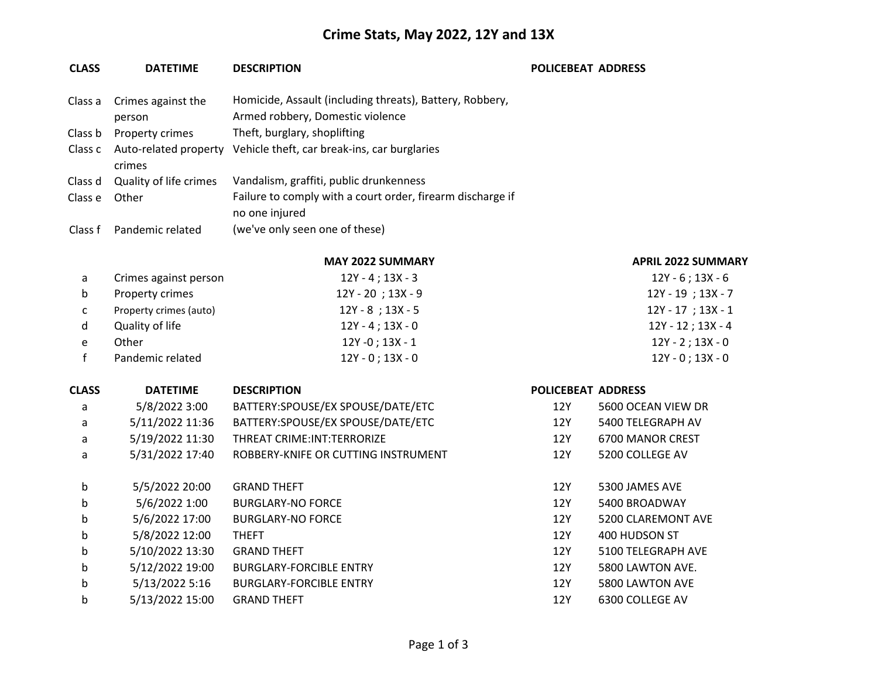## **Crime Stats, May 2022, 12Y and 13X**

| <b>CLASS</b> | <b>DATETIME</b>                 | <b>DESCRIPTION</b>                                                                           | <b>POLICEBEAT ADDRESS</b> |                           |
|--------------|---------------------------------|----------------------------------------------------------------------------------------------|---------------------------|---------------------------|
| Class a      | Crimes against the<br>person    | Homicide, Assault (including threats), Battery, Robbery,<br>Armed robbery, Domestic violence |                           |                           |
| Class b      | Property crimes                 | Theft, burglary, shoplifting                                                                 |                           |                           |
| Class c      | Auto-related property<br>crimes | Vehicle theft, car break-ins, car burglaries                                                 |                           |                           |
| Class d      | Quality of life crimes          | Vandalism, graffiti, public drunkenness                                                      |                           |                           |
| Class e      | Other                           | Failure to comply with a court order, firearm discharge if<br>no one injured                 |                           |                           |
| Class f      | Pandemic related                | (we've only seen one of these)                                                               |                           |                           |
|              |                                 | <b>MAY 2022 SUMMARY</b>                                                                      |                           | <b>APRIL 2022 SUMMARY</b> |
| a            | Crimes against person           | $12Y - 4$ ; $13X - 3$                                                                        |                           | $12Y - 6$ ; $13X - 6$     |
| b            | Property crimes                 | 12Y - 20; 13X - 9                                                                            |                           | 12Y - 19; 13X - 7         |
| с            | Property crimes (auto)          | $12Y - 8$ ; $13X - 5$                                                                        |                           | $12Y - 17$ ; 13X - 1      |
| d            | Quality of life                 | $12Y - 4$ ; $13X - 0$                                                                        |                           | $12Y - 12$ ; $13X - 4$    |
| е            | Other                           | $12Y - 0$ ; $13X - 1$                                                                        |                           | $12Y - 2$ ; $13X - 0$     |
| f            | Pandemic related                | $12Y - 0$ ; $13X - 0$                                                                        |                           | $12Y - 0$ ; $13X - 0$     |
| <b>CLASS</b> | <b>DATETIME</b>                 | <b>DESCRIPTION</b>                                                                           | <b>POLICEBEAT ADDRESS</b> |                           |
| a            | 5/8/2022 3:00                   | BATTERY:SPOUSE/EX SPOUSE/DATE/ETC                                                            | 12Y                       | 5600 OCEAN VIEW DR        |
| a            | 5/11/2022 11:36                 | BATTERY:SPOUSE/EX SPOUSE/DATE/ETC                                                            | 12Y                       | 5400 TELEGRAPH AV         |
| a            | 5/19/2022 11:30                 | THREAT CRIME: INT: TERRORIZE                                                                 | 12Y                       | 6700 MANOR CREST          |
| a            | 5/31/2022 17:40                 | ROBBERY-KNIFE OR CUTTING INSTRUMENT                                                          | <b>12Y</b>                | 5200 COLLEGE AV           |
| b            | 5/5/2022 20:00                  | <b>GRAND THEFT</b>                                                                           | 12Y                       | 5300 JAMES AVE            |
| b            | 5/6/2022 1:00                   | <b>BURGLARY-NO FORCE</b>                                                                     | 12Y                       | 5400 BROADWAY             |
| b            | 5/6/2022 17:00                  | <b>BURGLARY-NO FORCE</b>                                                                     | 12Y                       | 5200 CLAREMONT AVE        |
| b            | 5/8/2022 12:00                  | <b>THEFT</b>                                                                                 | 12Y                       | 400 HUDSON ST             |
| b            | 5/10/2022 13:30                 | <b>GRAND THEFT</b>                                                                           | 12Y                       | 5100 TELEGRAPH AVE        |
| b            | 5/12/2022 19:00                 | <b>BURGLARY-FORCIBLE ENTRY</b>                                                               | 12Y                       | 5800 LAWTON AVE.          |
| b            | 5/13/2022 5:16                  | <b>BURGLARY-FORCIBLE ENTRY</b>                                                               | <b>12Y</b>                | 5800 LAWTON AVE           |
| b            | 5/13/2022 15:00                 | <b>GRAND THEFT</b>                                                                           | 12Y                       | 6300 COLLEGE AV           |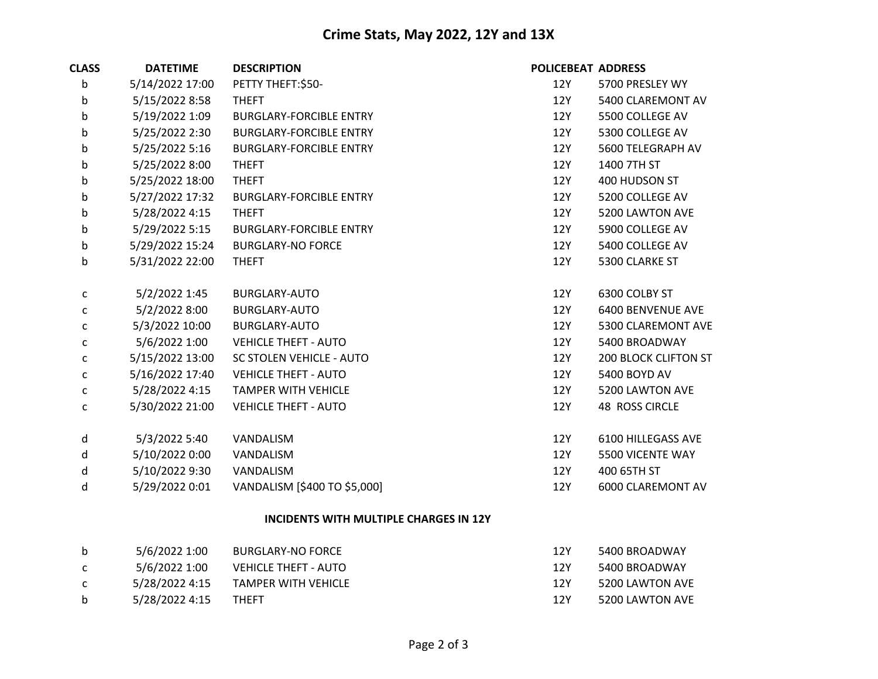## **Crime Stats, May 2022, 12Y and 13X**

| <b>CLASS</b> | <b>DATETIME</b> | <b>DESCRIPTION</b>              | <b>POLICEBEAT ADDRESS</b> |                             |
|--------------|-----------------|---------------------------------|---------------------------|-----------------------------|
| b            | 5/14/2022 17:00 | PETTY THEFT:\$50-               | 12Y                       | 5700 PRESLEY WY             |
| b            | 5/15/2022 8:58  | <b>THEFT</b>                    | 12Y                       | 5400 CLAREMONT AV           |
| b            | 5/19/2022 1:09  | <b>BURGLARY-FORCIBLE ENTRY</b>  | 12Y                       | 5500 COLLEGE AV             |
| b            | 5/25/2022 2:30  | <b>BURGLARY-FORCIBLE ENTRY</b>  | 12Y                       | 5300 COLLEGE AV             |
| b            | 5/25/2022 5:16  | <b>BURGLARY-FORCIBLE ENTRY</b>  | 12Y                       | 5600 TELEGRAPH AV           |
| b            | 5/25/2022 8:00  | <b>THEFT</b>                    | 12Y                       | 1400 7TH ST                 |
| b            | 5/25/2022 18:00 | <b>THEFT</b>                    | 12Y                       | 400 HUDSON ST               |
| b            | 5/27/2022 17:32 | <b>BURGLARY-FORCIBLE ENTRY</b>  | 12Y                       | 5200 COLLEGE AV             |
| b            | 5/28/2022 4:15  | <b>THEFT</b>                    | 12Y                       | 5200 LAWTON AVE             |
| b            | 5/29/2022 5:15  | <b>BURGLARY-FORCIBLE ENTRY</b>  | 12Y                       | 5900 COLLEGE AV             |
| b            | 5/29/2022 15:24 | <b>BURGLARY-NO FORCE</b>        | 12Y                       | 5400 COLLEGE AV             |
| b            | 5/31/2022 22:00 | <b>THEFT</b>                    | 12Y                       | 5300 CLARKE ST              |
|              |                 |                                 |                           |                             |
| C            | 5/2/2022 1:45   | BURGLARY-AUTO                   | 12Y                       | 6300 COLBY ST               |
| $\mathsf{C}$ | 5/2/2022 8:00   | BURGLARY-AUTO                   | 12Y                       | 6400 BENVENUE AVE           |
| C            | 5/3/2022 10:00  | <b>BURGLARY-AUTO</b>            | 12Y                       | 5300 CLAREMONT AVE          |
| C            | 5/6/2022 1:00   | <b>VEHICLE THEFT - AUTO</b>     | 12Y                       | 5400 BROADWAY               |
| С            | 5/15/2022 13:00 | <b>SC STOLEN VEHICLE - AUTO</b> | 12Y                       | <b>200 BLOCK CLIFTON ST</b> |
| С            | 5/16/2022 17:40 | <b>VEHICLE THEFT - AUTO</b>     | 12Y                       | 5400 BOYD AV                |
| $\mathsf{C}$ | 5/28/2022 4:15  | <b>TAMPER WITH VEHICLE</b>      | 12Y                       | 5200 LAWTON AVE             |
| C            | 5/30/2022 21:00 | <b>VEHICLE THEFT - AUTO</b>     | 12Y                       | <b>48 ROSS CIRCLE</b>       |
|              |                 |                                 |                           |                             |
| d            | 5/3/2022 5:40   | VANDALISM                       | 12Y                       | 6100 HILLEGASS AVE          |
| d            | 5/10/2022 0:00  | VANDALISM                       | 12Y                       | 5500 VICENTE WAY            |
| d            | 5/10/2022 9:30  | VANDALISM                       | 12Y                       | 400 65TH ST                 |
| d            | 5/29/2022 0:01  | VANDALISM [\$400 TO \$5,000]    | 12Y                       | 6000 CLAREMONT AV           |
|              |                 |                                 |                           |                             |

## **INCIDENTS WITH MULTIPLE CHARGES IN 12Y**

| b            | 5/6/2022 1:00  | <b>BURGLARY-NO FORCE</b>    | 12Y  | 5400 BROADWAY   |
|--------------|----------------|-----------------------------|------|-----------------|
| $\mathsf{C}$ | 5/6/2022 1:00  | <b>VEHICLE THEFT - AUTO</b> | 12Y  | 5400 BROADWAY   |
| $\mathsf{C}$ | 5/28/2022 4:15 | TAMPER WITH VEHICLE         | 12Y  | 5200 LAWTON AVE |
| <sub>b</sub> | 5/28/2022 4:15 | THEFT                       | 12 Y | 5200 LAWTON AVE |